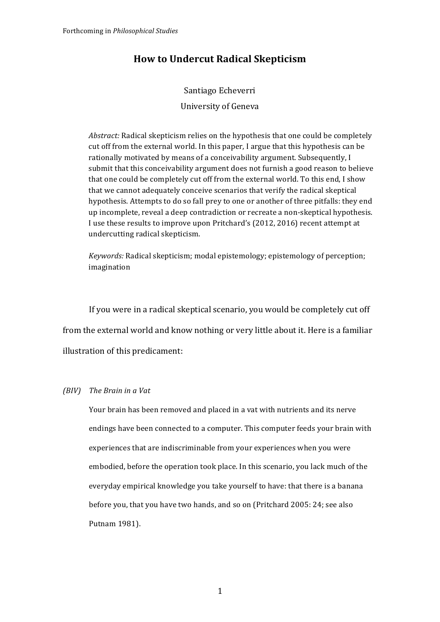# **How to Undercut Radical Skepticism**

# Santiago Echeverri University of Geneva

*Abstract:* Radical skepticism relies on the hypothesis that one could be completely cut off from the external world. In this paper, I argue that this hypothesis can be rationally motivated by means of a conceivability argument. Subsequently, I submit that this conceivability argument does not furnish a good reason to believe that one could be completely cut off from the external world. To this end, I show that we cannot adequately conceive scenarios that verify the radical skeptical hypothesis. Attempts to do so fall prey to one or another of three pitfalls: they end up incomplete, reveal a deep contradiction or recreate a non-skeptical hypothesis. I use these results to improve upon Pritchard's (2012, 2016) recent attempt at undercutting radical skepticism. 

*Keywords:* Radical skepticism; modal epistemology; epistemology of perception; imagination

If you were in a radical skeptical scenario, you would be completely cut off from the external world and know nothing or very little about it. Here is a familiar illustration of this predicament:

## *(BIV)* The Brain in a Vat

Your brain has been removed and placed in a vat with nutrients and its nerve endings have been connected to a computer. This computer feeds your brain with experiences that are indiscriminable from your experiences when you were embodied, before the operation took place. In this scenario, you lack much of the everyday empirical knowledge you take yourself to have: that there is a banana before you, that you have two hands, and so on (Pritchard 2005: 24; see also Putnam 1981).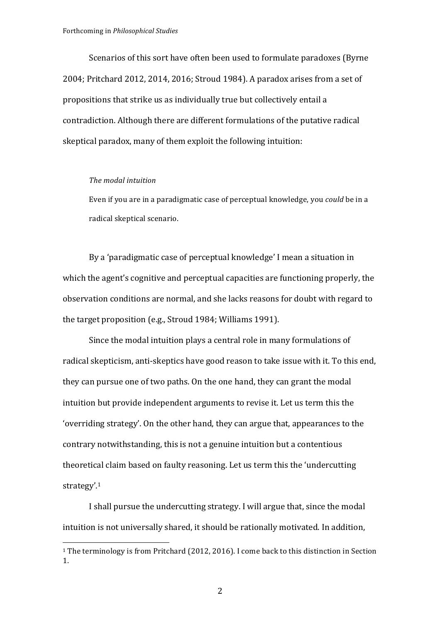Scenarios of this sort have often been used to formulate paradoxes (Byrne  $2004$ ; Pritchard  $2012$ ,  $2014$ ,  $2016$ ; Stroud 1984). A paradox arises from a set of propositions that strike us as individually true but collectively entail a contradiction. Although there are different formulations of the putative radical skeptical paradox, many of them exploit the following intuition:

#### *The modal intuition*

 

Even if you are in a paradigmatic case of perceptual knowledge, you *could* be in a radical skeptical scenario.

By a 'paradigmatic case of perceptual knowledge' I mean a situation in which the agent's cognitive and perceptual capacities are functioning properly, the observation conditions are normal, and she lacks reasons for doubt with regard to the target proposition  $(e.g., Stroud 1984; Williams 1991)$ .

Since the modal intuition plays a central role in many formulations of radical skepticism, anti-skeptics have good reason to take issue with it. To this end, they can pursue one of two paths. On the one hand, they can grant the modal intuition but provide independent arguments to revise it. Let us term this the 'overriding strategy'. On the other hand, they can argue that, appearances to the contrary notwithstanding, this is not a genuine intuition but a contentious theoretical claim based on faulty reasoning. Let us term this the 'undercutting strategy'.1

I shall pursue the undercutting strategy. I will argue that, since the modal intuition is not universally shared, it should be rationally motivated. In addition,

<sup>&</sup>lt;sup>1</sup> The terminology is from Pritchard  $(2012, 2016)$ . I come back to this distinction in Section 1.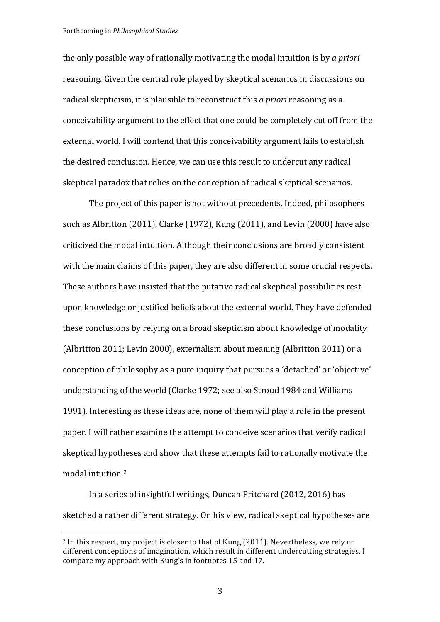the only possible way of rationally motivating the modal intuition is by *a priori* reasoning. Given the central role played by skeptical scenarios in discussions on radical skepticism, it is plausible to reconstruct this *a priori* reasoning as a conceivability argument to the effect that one could be completely cut off from the external world. I will contend that this conceivability argument fails to establish the desired conclusion. Hence, we can use this result to undercut any radical skeptical paradox that relies on the conception of radical skeptical scenarios.

The project of this paper is not without precedents. Indeed, philosophers such as Albritton  $(2011)$ , Clarke  $(1972)$ , Kung  $(2011)$ , and Levin  $(2000)$  have also criticized the modal intuition. Although their conclusions are broadly consistent with the main claims of this paper, they are also different in some crucial respects. These authors have insisted that the putative radical skeptical possibilities rest upon knowledge or justified beliefs about the external world. They have defended these conclusions by relying on a broad skepticism about knowledge of modality (Albritton 2011; Levin 2000), externalism about meaning (Albritton 2011) or a conception of philosophy as a pure inquiry that pursues a 'detached' or 'objective' understanding of the world (Clarke 1972; see also Stroud 1984 and Williams 1991). Interesting as these ideas are, none of them will play a role in the present paper. I will rather examine the attempt to conceive scenarios that verify radical skeptical hypotheses and show that these attempts fail to rationally motivate the modal intuition.<sup>2</sup>

In a series of insightful writings, Duncan Pritchard (2012, 2016) has sketched a rather different strategy. On his view, radical skeptical hypotheses are

 $2 \text{ In this respect, my project is closer to that of Kung (2011). Nevertheless, we rely on$ different conceptions of imagination, which result in different undercutting strategies. I compare my approach with Kung's in footnotes 15 and 17.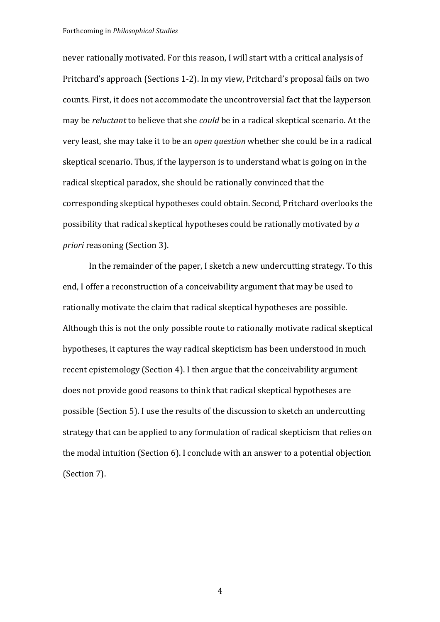Forthcoming in *Philosophical Studies*

never rationally motivated. For this reason, I will start with a critical analysis of Pritchard's approach (Sections 1-2). In my view, Pritchard's proposal fails on two counts. First, it does not accommodate the uncontroversial fact that the layperson may be *reluctant* to believe that she *could* be in a radical skeptical scenario. At the very least, she may take it to be an *open question* whether she could be in a radical skeptical scenario. Thus, if the layperson is to understand what is going on in the radical skeptical paradox, she should be rationally convinced that the corresponding skeptical hypotheses could obtain. Second, Pritchard overlooks the possibility that radical skeptical hypotheses could be rationally motivated by  $a$ *priori* reasoning (Section 3).

In the remainder of the paper, I sketch a new undercutting strategy. To this end, I offer a reconstruction of a conceivability argument that may be used to rationally motivate the claim that radical skeptical hypotheses are possible. Although this is not the only possible route to rationally motivate radical skeptical hypotheses, it captures the way radical skepticism has been understood in much recent epistemology (Section 4). I then argue that the conceivability argument does not provide good reasons to think that radical skeptical hypotheses are possible (Section 5). I use the results of the discussion to sketch an undercutting strategy that can be applied to any formulation of radical skepticism that relies on the modal intuition (Section  $6$ ). I conclude with an answer to a potential objection (Section 7).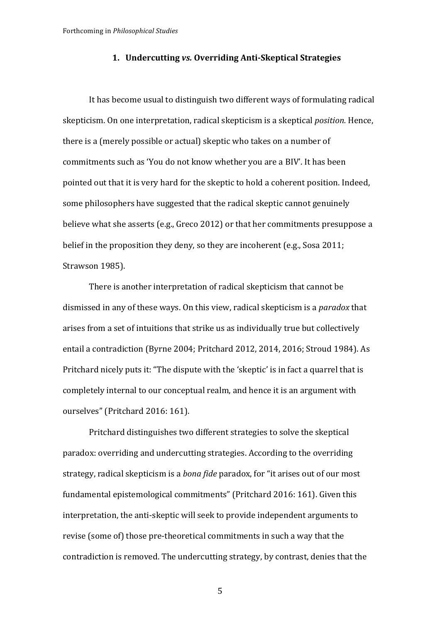# **1. Undercutting** *vs.* **Overriding Anti-Skeptical Strategies**

It has become usual to distinguish two different ways of formulating radical skepticism. On one interpretation, radical skepticism is a skeptical *position*. Hence, there is a (merely possible or actual) skeptic who takes on a number of commitments such as 'You do not know whether you are a BIV'. It has been pointed out that it is very hard for the skeptic to hold a coherent position. Indeed, some philosophers have suggested that the radical skeptic cannot genuinely believe what she asserts (e.g., Greco 2012) or that her commitments presuppose a belief in the proposition they deny, so they are incoherent (e.g., Sosa 2011; Strawson 1985).

There is another interpretation of radical skepticism that cannot be dismissed in any of these ways. On this view, radical skepticism is a *paradox* that arises from a set of intuitions that strike us as individually true but collectively entail a contradiction (Byrne 2004; Pritchard 2012, 2014, 2016; Stroud 1984). As Pritchard nicely puts it: "The dispute with the 'skeptic' is in fact a quarrel that is completely internal to our conceptual realm, and hence it is an argument with ourselves" (Pritchard 2016: 161).

Pritchard distinguishes two different strategies to solve the skeptical paradox: overriding and undercutting strategies. According to the overriding strategy, radical skepticism is a *bona fide* paradox, for "it arises out of our most fundamental epistemological commitments" (Pritchard 2016: 161). Given this interpretation, the anti-skeptic will seek to provide independent arguments to revise (some of) those pre-theoretical commitments in such a way that the contradiction is removed. The undercutting strategy, by contrast, denies that the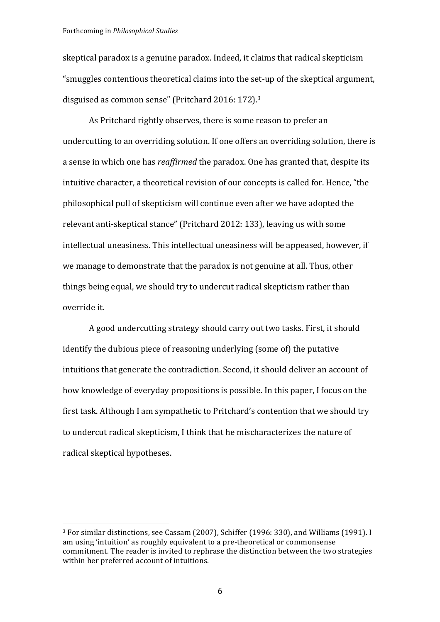skeptical paradox is a genuine paradox. Indeed, it claims that radical skepticism "smuggles contentious theoretical claims into the set-up of the skeptical argument, disguised as common sense" (Pritchard 2016:  $172$ ).<sup>3</sup>

As Pritchard rightly observes, there is some reason to prefer an undercutting to an overriding solution. If one offers an overriding solution, there is a sense in which one has *reaffirmed* the paradox. One has granted that, despite its intuitive character, a theoretical revision of our concepts is called for. Hence, "the philosophical pull of skepticism will continue even after we have adopted the relevant anti-skeptical stance" (Pritchard 2012: 133), leaving us with some intellectual uneasiness. This intellectual uneasiness will be appeased, however, if we manage to demonstrate that the paradox is not genuine at all. Thus, other things being equal, we should try to undercut radical skepticism rather than override it.

A good undercutting strategy should carry out two tasks. First, it should identify the dubious piece of reasoning underlying (some of) the putative intuitions that generate the contradiction. Second, it should deliver an account of how knowledge of everyday propositions is possible. In this paper, I focus on the first task. Although I am sympathetic to Pritchard's contention that we should try to undercut radical skepticism, I think that he mischaracterizes the nature of radical skeptical hypotheses.

 $3$  For similar distinctions, see Cassam (2007), Schiffer (1996: 330), and Williams (1991). I am using 'intuition' as roughly equivalent to a pre-theoretical or commonsense commitment. The reader is invited to rephrase the distinction between the two strategies within her preferred account of intuitions.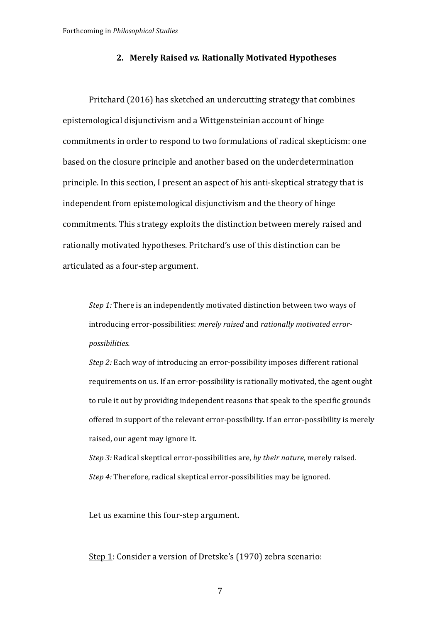#### **2. Merely Raised** *vs.* **Rationally Motivated Hypotheses**

Pritchard (2016) has sketched an undercutting strategy that combines epistemological disjunctivism and a Wittgensteinian account of hinge commitments in order to respond to two formulations of radical skepticism: one based on the closure principle and another based on the underdetermination principle. In this section, I present an aspect of his anti-skeptical strategy that is independent from epistemological disjunctivism and the theory of hinge commitments. This strategy exploits the distinction between merely raised and rationally motivated hypotheses. Pritchard's use of this distinction can be articulated as a four-step argument.

*Step 1:* There is an independently motivated distinction between two ways of introducing error-possibilities: *merely raised* and *rationally motivated errorpossibilities.*

*Step 2:* Each way of introducing an error-possibility imposes different rational requirements on us. If an error-possibility is rationally motivated, the agent ought to rule it out by providing independent reasons that speak to the specific grounds offered in support of the relevant error-possibility. If an error-possibility is merely raised, our agent may ignore it.

*Step 3:* Radical skeptical error-possibilities are, by their nature, merely raised. *Step 4:* Therefore, radical skeptical error-possibilities may be ignored.

Let us examine this four-step argument.

Step 1: Consider a version of Dretske's (1970) zebra scenario: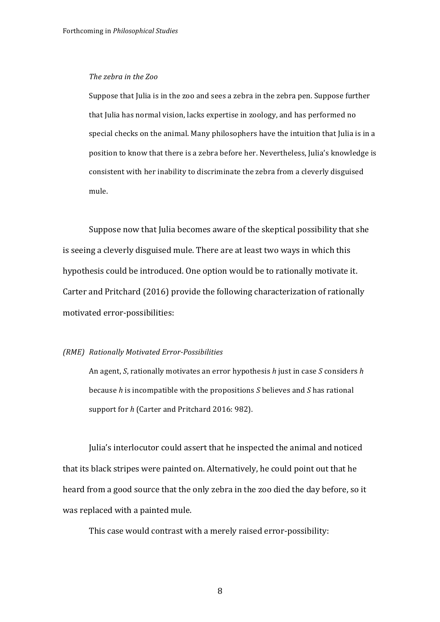#### *The zebra in the Zoo*

Suppose that Julia is in the zoo and sees a zebra in the zebra pen. Suppose further that Julia has normal vision, lacks expertise in zoology, and has performed no special checks on the animal. Many philosophers have the intuition that Julia is in a position to know that there is a zebra before her. Nevertheless, Julia's knowledge is consistent with her inability to discriminate the zebra from a cleverly disguised mule.

Suppose now that Julia becomes aware of the skeptical possibility that she is seeing a cleverly disguised mule. There are at least two ways in which this hypothesis could be introduced. One option would be to rationally motivate it. Carter and Pritchard (2016) provide the following characterization of rationally motivated error-possibilities:

#### *(RME) Rationally Motivated Error-Possibilities*

An agent, *S*, rationally motivates an error hypothesis *h* just in case *S* considers *h* because *h* is incompatible with the propositions *S* believes and *S* has rational support for *h* (Carter and Pritchard 2016: 982).

Julia's interlocutor could assert that he inspected the animal and noticed that its black stripes were painted on. Alternatively, he could point out that he heard from a good source that the only zebra in the zoo died the day before, so it was replaced with a painted mule.

This case would contrast with a merely raised error-possibility: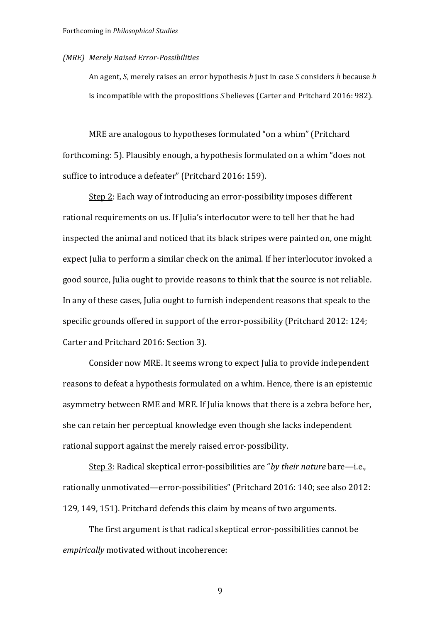#### *(MRE) Merely Raised Error-Possibilities*

An agent, *S*, merely raises an error hypothesis *h* just in case *S* considers *h* because *h* is incompatible with the propositions *S* believes (Carter and Pritchard 2016: 982).

MRE are analogous to hypotheses formulated "on a whim" (Pritchard forthcoming: 5). Plausibly enough, a hypothesis formulated on a whim "does not suffice to introduce a defeater" (Pritchard 2016: 159).

Step 2: Each way of introducing an error-possibility imposes different rational requirements on us. If Julia's interlocutor were to tell her that he had inspected the animal and noticed that its black stripes were painted on, one might expect Julia to perform a similar check on the animal. If her interlocutor invoked a good source, Julia ought to provide reasons to think that the source is not reliable. In any of these cases, Julia ought to furnish independent reasons that speak to the specific grounds offered in support of the error-possibility (Pritchard 2012: 124; Carter and Pritchard 2016: Section 3).

Consider now MRE. It seems wrong to expect Julia to provide independent reasons to defeat a hypothesis formulated on a whim. Hence, there is an epistemic asymmetry between RME and MRE. If Julia knows that there is a zebra before her, she can retain her perceptual knowledge even though she lacks independent rational support against the merely raised error-possibility.

Step 3: Radical skeptical error-possibilities are "*by their nature* bare—i.e., rationally unmotivated—error-possibilities" (Pritchard 2016: 140; see also 2012: 129, 149, 151). Pritchard defends this claim by means of two arguments.

The first argument is that radical skeptical error-possibilities cannot be *empirically* motivated without incoherence: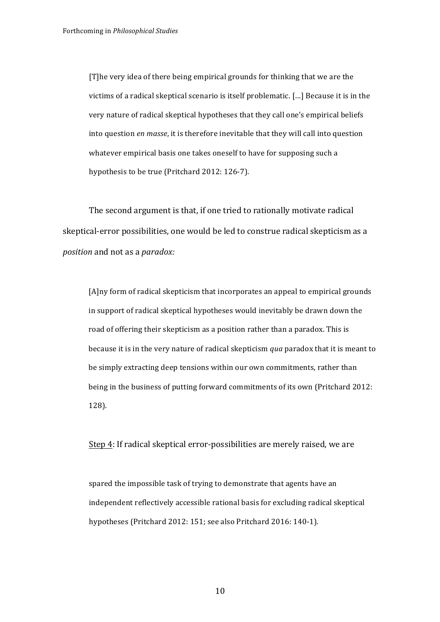[T]he very idea of there being empirical grounds for thinking that we are the victims of a radical skeptical scenario is itself problematic. [...] Because it is in the very nature of radical skeptical hypotheses that they call one's empirical beliefs into question *en masse*, it is therefore inevitable that they will call into question whatever empirical basis one takes oneself to have for supposing such a hypothesis to be true (Pritchard 2012: 126-7).

The second argument is that, if one tried to rationally motivate radical skeptical-error possibilities, one would be led to construe radical skepticism as a *position* and not as a *paradox:* 

 $[A]$ ny form of radical skepticism that incorporates an appeal to empirical grounds in support of radical skeptical hypotheses would inevitably be drawn down the road of offering their skepticism as a position rather than a paradox. This is because it is in the very nature of radical skepticism *qua* paradox that it is meant to be simply extracting deep tensions within our own commitments, rather than being in the business of putting forward commitments of its own (Pritchard 2012: 128).

Step 4: If radical skeptical error-possibilities are merely raised, we are

spared the impossible task of trying to demonstrate that agents have an independent reflectively accessible rational basis for excluding radical skeptical hypotheses (Pritchard 2012: 151; see also Pritchard 2016: 140-1).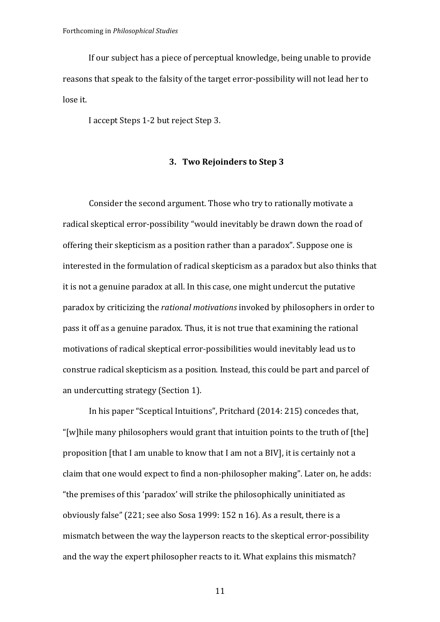If our subject has a piece of perceptual knowledge, being unable to provide reasons that speak to the falsity of the target error-possibility will not lead her to lose it.

I accept Steps 1-2 but reject Step 3.

# **3. Two Rejoinders to Step 3**

Consider the second argument. Those who try to rationally motivate a radical skeptical error-possibility "would inevitably be drawn down the road of offering their skepticism as a position rather than a paradox". Suppose one is interested in the formulation of radical skepticism as a paradox but also thinks that it is not a genuine paradox at all. In this case, one might undercut the putative paradox by criticizing the *rational motivations* invoked by philosophers in order to pass it off as a genuine paradox. Thus, it is not true that examining the rational motivations of radical skeptical error-possibilities would inevitably lead us to construe radical skepticism as a position. Instead, this could be part and parcel of an undercutting strategy (Section 1).

In his paper "Sceptical Intuitions", Pritchard (2014: 215) concedes that, "[w]hile many philosophers would grant that intuition points to the truth of  $[the]$ proposition [that I am unable to know that I am not a BIV], it is certainly not a claim that one would expect to find a non-philosopher making". Later on, he adds: "the premises of this 'paradox' will strike the philosophically uninitiated as obviously false"  $(221;$  see also Sosa 1999: 152 n 16). As a result, there is a mismatch between the way the layperson reacts to the skeptical error-possibility and the way the expert philosopher reacts to it. What explains this mismatch?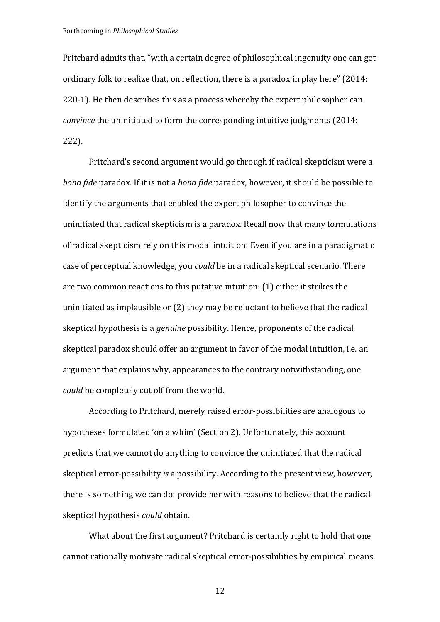Pritchard admits that, "with a certain degree of philosophical ingenuity one can get ordinary folk to realize that, on reflection, there is a paradox in play here" (2014: 220-1). He then describes this as a process whereby the expert philosopher can *convince* the uninitiated to form the corresponding intuitive judgments (2014: 222).

Pritchard's second argument would go through if radical skepticism were a *bona fide* paradox. If it is not a *bona fide* paradox, however, it should be possible to identify the arguments that enabled the expert philosopher to convince the uninitiated that radical skepticism is a paradox. Recall now that many formulations of radical skepticism rely on this modal intuition: Even if you are in a paradigmatic case of perceptual knowledge, you *could* be in a radical skeptical scenario. There are two common reactions to this putative intuition: (1) either it strikes the uninitiated as implausible or  $(2)$  they may be reluctant to believe that the radical skeptical hypothesis is a *genuine* possibility. Hence, proponents of the radical skeptical paradox should offer an argument in favor of the modal intuition, i.e. an argument that explains why, appearances to the contrary notwithstanding, one *could* be completely cut off from the world.

According to Pritchard, merely raised error-possibilities are analogous to hypotheses formulated 'on a whim' (Section 2). Unfortunately, this account predicts that we cannot do anything to convince the uninitiated that the radical skeptical error-possibility *is* a possibility. According to the present view, however, there is something we can do: provide her with reasons to believe that the radical skeptical hypothesis *could* obtain.

What about the first argument? Pritchard is certainly right to hold that one cannot rationally motivate radical skeptical error-possibilities by empirical means.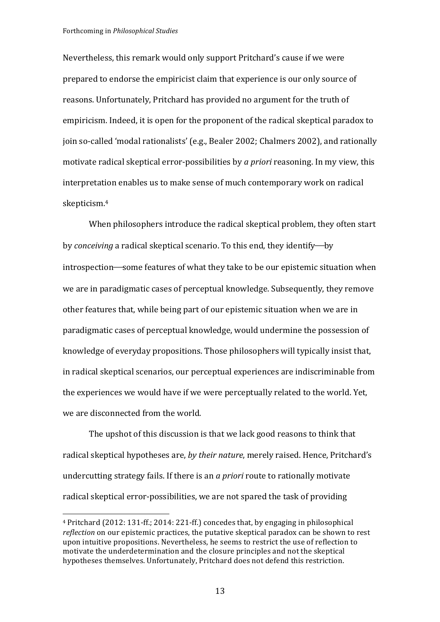Forthcoming in *Philosophical Studies*

 

Nevertheless, this remark would only support Pritchard's cause if we were prepared to endorse the empiricist claim that experience is our only source of reasons. Unfortunately, Pritchard has provided no argument for the truth of empiricism. Indeed, it is open for the proponent of the radical skeptical paradox to join so-called 'modal rationalists' (e.g., Bealer 2002; Chalmers 2002), and rationally motivate radical skeptical error-possibilities by *a priori* reasoning. In my view, this interpretation enables us to make sense of much contemporary work on radical skepticism.4

When philosophers introduce the radical skeptical problem, they often start by *conceiving* a radical skeptical scenario. To this end, they identify—by introspection—some features of what they take to be our epistemic situation when we are in paradigmatic cases of perceptual knowledge. Subsequently, they remove other features that, while being part of our epistemic situation when we are in paradigmatic cases of perceptual knowledge, would undermine the possession of knowledge of everyday propositions. Those philosophers will typically insist that, in radical skeptical scenarios, our perceptual experiences are indiscriminable from the experiences we would have if we were perceptually related to the world. Yet, we are disconnected from the world.

The upshot of this discussion is that we lack good reasons to think that radical skeptical hypotheses are, by their nature, merely raised. Hence, Pritchard's undercutting strategy fails. If there is an *a priori* route to rationally motivate radical skeptical error-possibilities, we are not spared the task of providing

 $4$  Pritchard (2012: 131-ff.; 2014: 221-ff.) concedes that, by engaging in philosophical *reflection* on our epistemic practices, the putative skeptical paradox can be shown to rest upon intuitive propositions. Nevertheless, he seems to restrict the use of reflection to motivate the underdetermination and the closure principles and not the skeptical hypotheses themselves. Unfortunately, Pritchard does not defend this restriction.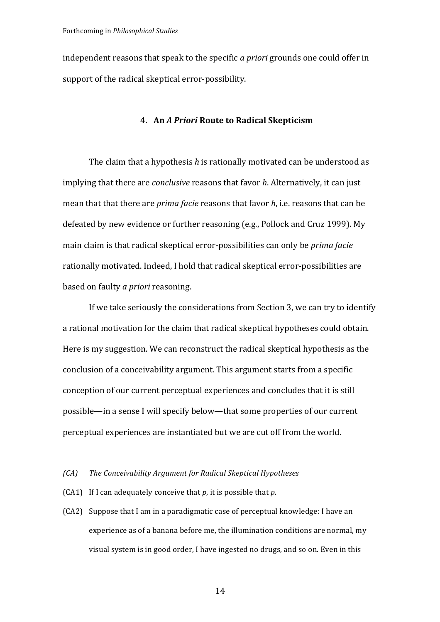independent reasons that speak to the specific *a priori* grounds one could offer in support of the radical skeptical error-possibility.

# **4. An** *A Priori* **Route to Radical Skepticism**

The claim that a hypothesis *h* is rationally motivated can be understood as implying that there are *conclusive* reasons that favor *h*. Alternatively, it can just mean that that there are *prima facie* reasons that favor *h*, i.e. reasons that can be defeated by new evidence or further reasoning (e.g., Pollock and Cruz 1999). My main claim is that radical skeptical error-possibilities can only be *prima facie* rationally motivated. Indeed, I hold that radical skeptical error-possibilities are based on faulty *a priori* reasoning.

If we take seriously the considerations from Section 3, we can try to identify a rational motivation for the claim that radical skeptical hypotheses could obtain. Here is my suggestion. We can reconstruct the radical skeptical hypothesis as the conclusion of a conceivability argument. This argument starts from a specific conception of our current perceptual experiences and concludes that it is still possible—in a sense I will specify below—that some properties of our current perceptual experiences are instantiated but we are cut off from the world.

#### *(CA)* The Conceivability Argument for Radical Skeptical Hypotheses

- (CA1) If I can adequately conceive that  $p$ , it is possible that  $p$ .
- (CA2) Suppose that I am in a paradigmatic case of perceptual knowledge: I have an experience as of a banana before me, the illumination conditions are normal, my visual system is in good order, I have ingested no drugs, and so on. Even in this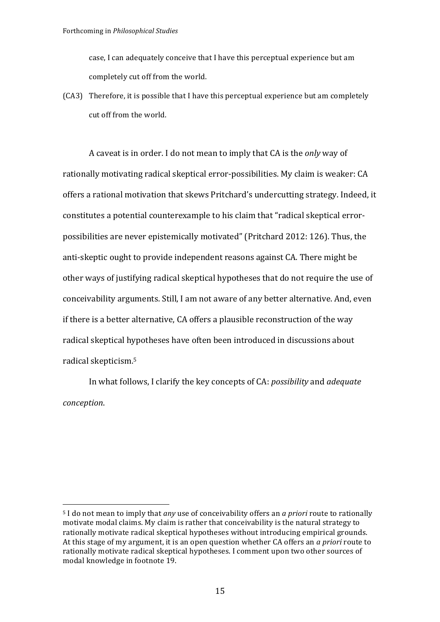case, I can adequately conceive that I have this perceptual experience but am completely cut off from the world.

 $(CA3)$  Therefore, it is possible that I have this perceptual experience but am completely cut off from the world.

A caveat is in order. I do not mean to imply that CA is the *only* way of rationally motivating radical skeptical error-possibilities. My claim is weaker: CA offers a rational motivation that skews Pritchard's undercutting strategy. Indeed, it constitutes a potential counterexample to his claim that "radical skeptical errorpossibilities are never epistemically motivated" (Pritchard 2012: 126). Thus, the anti-skeptic ought to provide independent reasons against CA. There might be other ways of justifying radical skeptical hypotheses that do not require the use of conceivability arguments. Still, I am not aware of any better alternative. And, even if there is a better alternative. CA offers a plausible reconstruction of the way radical skeptical hypotheses have often been introduced in discussions about radical skepticism.<sup>5</sup>

In what follows, I clarify the key concepts of CA: *possibility* and *adequate conception*.

<sup>&</sup>lt;sup>5</sup> I do not mean to imply that *any* use of conceivability offers an *a priori* route to rationally motivate modal claims. My claim is rather that conceivability is the natural strategy to rationally motivate radical skeptical hypotheses without introducing empirical grounds. At this stage of my argument, it is an open question whether CA offers an *a priori* route to rationally motivate radical skeptical hypotheses. I comment upon two other sources of modal knowledge in footnote 19.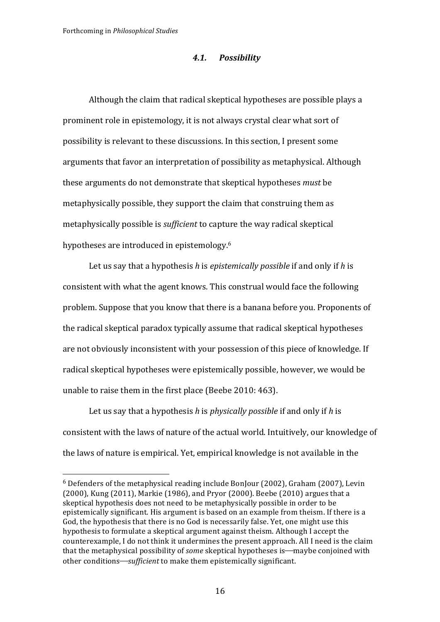#### *4.1. Possibility*

Although the claim that radical skeptical hypotheses are possible plays a prominent role in epistemology, it is not always crystal clear what sort of possibility is relevant to these discussions. In this section, I present some arguments that favor an interpretation of possibility as metaphysical. Although these arguments do not demonstrate that skeptical hypotheses *must* be metaphysically possible, they support the claim that construing them as metaphysically possible is *sufficient* to capture the way radical skeptical hypotheses are introduced in epistemology.<sup>6</sup>

Let us say that a hypothesis *h* is *epistemically possible* if and only if *h* is consistent with what the agent knows. This construal would face the following problem. Suppose that you know that there is a banana before you. Proponents of the radical skeptical paradox typically assume that radical skeptical hypotheses are not obviously inconsistent with your possession of this piece of knowledge. If radical skeptical hypotheses were epistemically possible, however, we would be unable to raise them in the first place (Beebe 2010: 463).

Let us say that a hypothesis *h* is *physically possible* if and only if *h* is consistent with the laws of nature of the actual world. Intuitively, our knowledge of the laws of nature is empirical. Yet, empirical knowledge is not available in the

 $6$  Defenders of the metaphysical reading include BonJour (2002), Graham (2007), Levin  $(2000)$ , Kung  $(2011)$ , Markie  $(1986)$ , and Pryor  $(2000)$ , Beebe  $(2010)$  argues that a skeptical hypothesis does not need to be metaphysically possible in order to be epistemically significant. His argument is based on an example from theism. If there is a God, the hypothesis that there is no God is necessarily false. Yet, one might use this hypothesis to formulate a skeptical argument against theism. Although I accept the counterexample. I do not think it undermines the present approach. All I need is the claim that the metaphysical possibility of *some* skeptical hypotheses is—maybe conjoined with other conditions—sufficient to make them epistemically significant.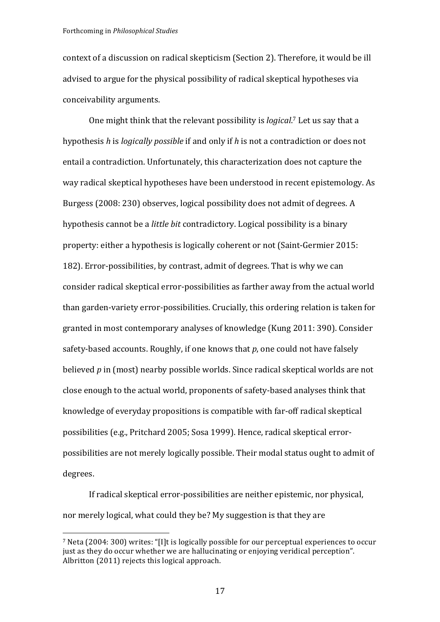Forthcoming in *Philosophical Studies*

context of a discussion on radical skepticism (Section 2). Therefore, it would be ill advised to argue for the physical possibility of radical skeptical hypotheses via conceivability arguments. 

One might think that the relevant possibility is *logical*.<sup>7</sup> Let us say that a hypothesis *h* is *logically possible* if and only if *h* is not a contradiction or does not entail a contradiction. Unfortunately, this characterization does not capture the way radical skeptical hypotheses have been understood in recent epistemology. As Burgess (2008: 230) observes, logical possibility does not admit of degrees. A hypothesis cannot be a *little bit* contradictory. Logical possibility is a binary property: either a hypothesis is logically coherent or not (Saint-Germier 2015: 182). Error-possibilities, by contrast, admit of degrees. That is why we can consider radical skeptical error-possibilities as farther away from the actual world than garden-variety error-possibilities. Crucially, this ordering relation is taken for granted in most contemporary analyses of knowledge (Kung 2011: 390). Consider safety-based accounts. Roughly, if one knows that  $p$ , one could not have falsely believed  $p$  in (most) nearby possible worlds. Since radical skeptical worlds are not close enough to the actual world, proponents of safety-based analyses think that knowledge of everyday propositions is compatible with far-off radical skeptical possibilities (e.g., Pritchard 2005; Sosa 1999). Hence, radical skeptical errorpossibilities are not merely logically possible. Their modal status ought to admit of degrees.

If radical skeptical error-possibilities are neither epistemic, nor physical, nor merely logical, what could they be? My suggestion is that they are

<sup>&</sup>lt;sup>7</sup> Neta (2004: 300) writes: "[I]t is logically possible for our perceptual experiences to occur just as they do occur whether we are hallucinating or enjoying veridical perception". Albritton  $(2011)$  rejects this logical approach.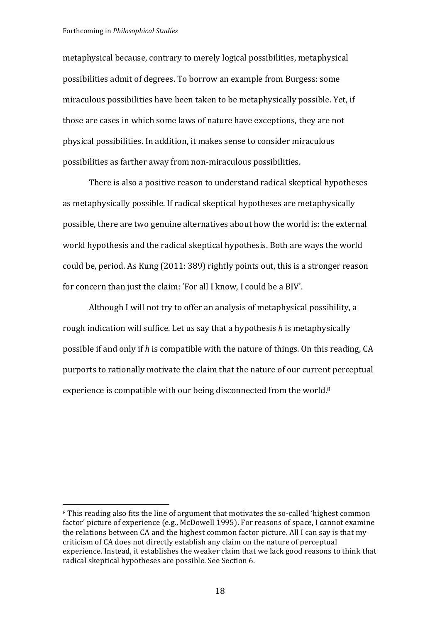metaphysical because, contrary to merely logical possibilities, metaphysical possibilities admit of degrees. To borrow an example from Burgess: some miraculous possibilities have been taken to be metaphysically possible. Yet, if those are cases in which some laws of nature have exceptions, they are not physical possibilities. In addition, it makes sense to consider miraculous possibilities as farther away from non-miraculous possibilities.

There is also a positive reason to understand radical skeptical hypotheses as metaphysically possible. If radical skeptical hypotheses are metaphysically possible, there are two genuine alternatives about how the world is: the external world hypothesis and the radical skeptical hypothesis. Both are ways the world could be, period. As Kung (2011: 389) rightly points out, this is a stronger reason for concern than just the claim: 'For all I know, I could be a BIV'.

Although I will not try to offer an analysis of metaphysical possibility, a rough indication will suffice. Let us say that a hypothesis *h* is metaphysically possible if and only if h is compatible with the nature of things. On this reading, CA purports to rationally motivate the claim that the nature of our current perceptual experience is compatible with our being disconnected from the world. $8$ 

<sup>&</sup>lt;sup>8</sup> This reading also fits the line of argument that motivates the so-called 'highest common factor' picture of experience (e.g., McDowell 1995). For reasons of space, I cannot examine the relations between CA and the highest common factor picture. All I can say is that my criticism of CA does not directly establish any claim on the nature of perceptual experience. Instead, it establishes the weaker claim that we lack good reasons to think that radical skeptical hypotheses are possible. See Section 6.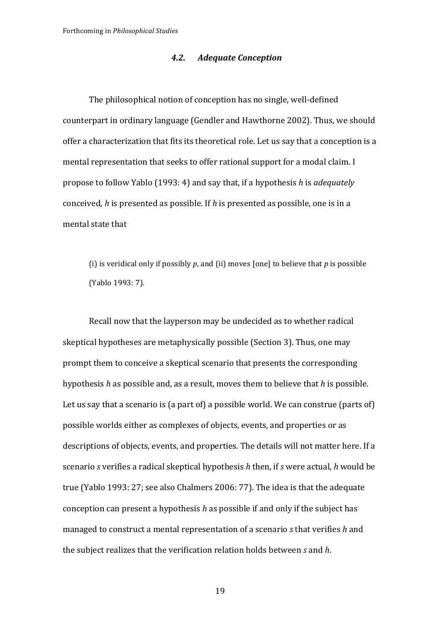# *4.2. Adequate Conception*

The philosophical notion of conception has no single, well-defined counterpart in ordinary language (Gendler and Hawthorne 2002). Thus, we should offer a characterization that fits its theoretical role. Let us say that a conception is a mental representation that seeks to offer rational support for a modal claim. I propose to follow Yablo (1993: 4) and say that, if a hypothesis *h* is *adequately* conceived, *h* is presented as possible. If *h* is presented as possible, one is in a mental state that

(i) is veridical only if possibly  $p$ , and (ii) moves [one] to believe that  $p$  is possible (Yablo 1993: 7).

Recall now that the layperson may be undecided as to whether radical skeptical hypotheses are metaphysically possible (Section 3). Thus, one may prompt them to conceive a skeptical scenario that presents the corresponding hypothesis *h* as possible and, as a result, moves them to believe that *h* is possible. Let us say that a scenario is (a part of) a possible world. We can construe (parts of) possible worlds either as complexes of objects, events, and properties or as descriptions of objects, events, and properties. The details will not matter here. If a scenario *s* verifies a radical skeptical hypothesis *h* then, if *s* were actual, *h* would be true (Yablo 1993: 27; see also Chalmers 2006: 77). The idea is that the adequate conception can present a hypothesis *h* as possible if and only if the subject has managed to construct a mental representation of a scenario *s* that verifies *h* and the subject realizes that the verification relation holds between *s* and *h*.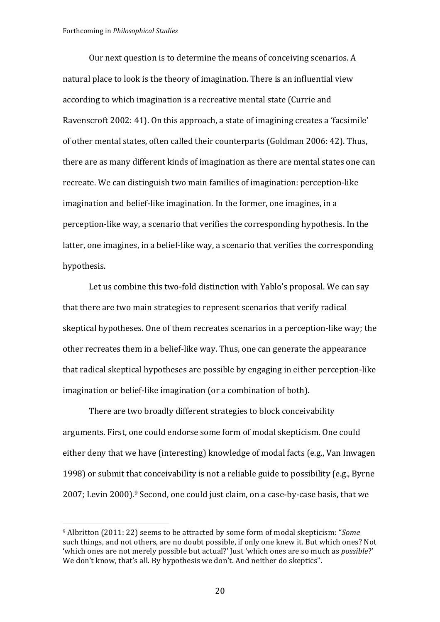Our next question is to determine the means of conceiving scenarios. A natural place to look is the theory of imagination. There is an influential view according to which imagination is a recreative mental state (Currie and Ravenscroft 2002: 41). On this approach, a state of imagining creates a 'facsimile' of other mental states, often called their counterparts (Goldman 2006: 42). Thus, there are as many different kinds of imagination as there are mental states one can recreate. We can distinguish two main families of imagination: perception-like imagination and belief-like imagination. In the former, one imagines, in a perception-like way, a scenario that verifies the corresponding hypothesis. In the latter, one imagines, in a belief-like way, a scenario that verifies the corresponding hypothesis.

Let us combine this two-fold distinction with Yablo's proposal. We can say that there are two main strategies to represent scenarios that verify radical skeptical hypotheses. One of them recreates scenarios in a perception-like way; the other recreates them in a belief-like way. Thus, one can generate the appearance that radical skeptical hypotheses are possible by engaging in either perception-like imagination or belief-like imagination (or a combination of both).

There are two broadly different strategies to block conceivability arguments. First, one could endorse some form of modal skepticism. One could either deny that we have (interesting) knowledge of modal facts (e.g., Van Inwagen 1998) or submit that conceivability is not a reliable guide to possibility (e.g., Byrne  $2007$ ; Levin  $2000$ .<sup>9</sup> Second, one could just claim, on a case-by-case basis, that we

<sup>&</sup>lt;sup>9</sup> Albritton (2011: 22) seems to be attracted by some form of modal skepticism: "*Some* such things, and not others, are no doubt possible, if only one knew it. But which ones? Not 'which ones are not merely possible but actual?' Just 'which ones are so much as *possible*?' We don't know, that's all. By hypothesis we don't. And neither do skeptics".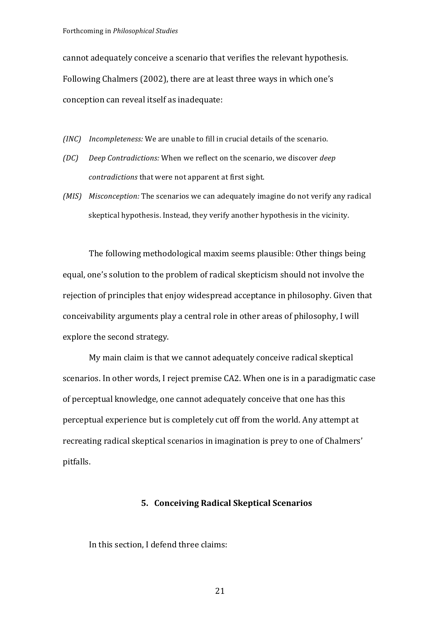cannot adequately conceive a scenario that verifies the relevant hypothesis. Following Chalmers (2002), there are at least three ways in which one's conception can reveal itself as inadequate:

*(INC) Incompleteness:* We are unable to fill in crucial details of the scenario.

- *(DC) Deep Contradictions:* When we reflect on the scenario, we discover *deep contradictions* that were not apparent at first sight.
- *(MIS) Misconception:* The scenarios we can adequately imagine do not verify any radical skeptical hypothesis. Instead, they verify another hypothesis in the vicinity.

The following methodological maxim seems plausible: Other things being equal, one's solution to the problem of radical skepticism should not involve the rejection of principles that enjoy widespread acceptance in philosophy. Given that conceivability arguments play a central role in other areas of philosophy, I will explore the second strategy.

My main claim is that we cannot adequately conceive radical skeptical scenarios. In other words, I reject premise CA2. When one is in a paradigmatic case of perceptual knowledge, one cannot adequately conceive that one has this perceptual experience but is completely cut off from the world. Any attempt at recreating radical skeptical scenarios in imagination is prey to one of Chalmers' pitfalls.

## **5. Conceiving Radical Skeptical Scenarios**

In this section, I defend three claims: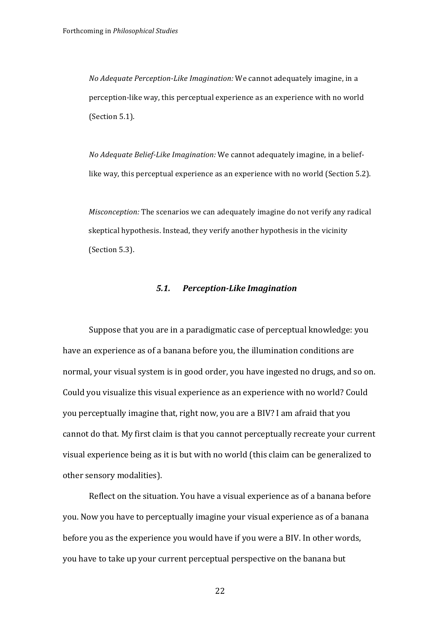*No Adequate Perception-Like Imagination:* We cannot adequately imagine, in a perception-like way, this perceptual experience as an experience with no world (Section 5.1).

*No Adequate Belief-Like Imagination:* We cannot adequately imagine, in a belieflike way, this perceptual experience as an experience with no world (Section 5.2).

*Misconception:* The scenarios we can adequately imagine do not verify any radical skeptical hypothesis. Instead, they verify another hypothesis in the vicinity  $(Section 5.3)$ .

# *5.1. Perception-Like Imagination*

Suppose that you are in a paradigmatic case of perceptual knowledge: you have an experience as of a banana before you, the illumination conditions are normal, your visual system is in good order, you have ingested no drugs, and so on. Could you visualize this visual experience as an experience with no world? Could you perceptually imagine that, right now, you are a BIV? I am afraid that you cannot do that. My first claim is that you cannot perceptually recreate your current visual experience being as it is but with no world (this claim can be generalized to other sensory modalities).

Reflect on the situation. You have a visual experience as of a banana before you. Now you have to perceptually imagine your visual experience as of a banana before you as the experience you would have if you were a BIV. In other words, you have to take up your current perceptual perspective on the banana but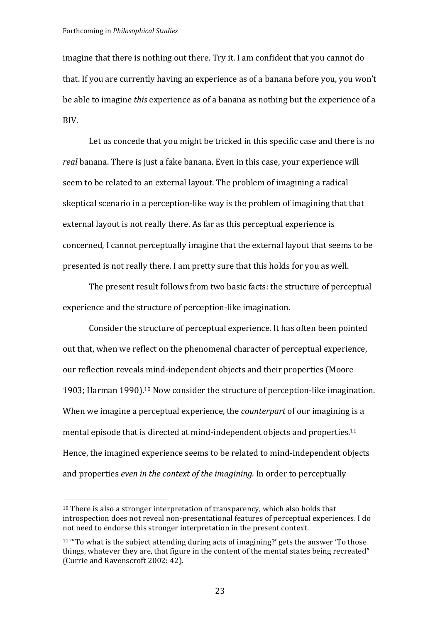imagine that there is nothing out there. Try it. I am confident that you cannot do that. If you are currently having an experience as of a banana before you, you won't be able to imagine *this* experience as of a banana as nothing but the experience of a BIV. 

Let us concede that you might be tricked in this specific case and there is no real banana. There is just a fake banana. Even in this case, your experience will seem to be related to an external layout. The problem of imagining a radical skeptical scenario in a perception-like way is the problem of imagining that that external layout is not really there. As far as this perceptual experience is concerned, I cannot perceptually imagine that the external layout that seems to be presented is not really there. I am pretty sure that this holds for you as well.

The present result follows from two basic facts: the structure of perceptual experience and the structure of perception-like imagination.

Consider the structure of perceptual experience. It has often been pointed out that, when we reflect on the phenomenal character of perceptual experience, our reflection reveals mind-independent objects and their properties (Moore 1903; Harman 1990).<sup>10</sup> Now consider the structure of perception-like imagination. When we imagine a perceptual experience, the *counterpart* of our imagining is a mental episode that is directed at mind-independent objects and properties.<sup>11</sup> Hence, the imagined experience seems to be related to mind-independent objects and properties *even in the context of the imagining*. In order to perceptually

 $10$  There is also a stronger interpretation of transparency, which also holds that introspection does not reveal non-presentational features of perceptual experiences. I do not need to endorse this stronger interpretation in the present context.

 $11$  "To what is the subject attending during acts of imagining?' gets the answer 'To those things, whatever they are, that figure in the content of the mental states being recreated" (Currie and Ravenscroft 2002: 42).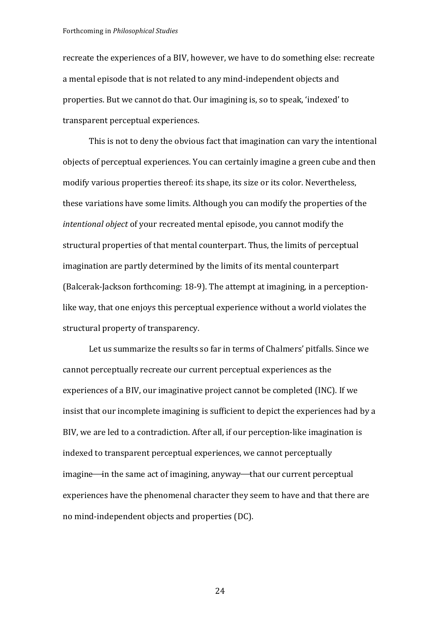Forthcoming in *Philosophical Studies*

recreate the experiences of a BIV, however, we have to do something else: recreate a mental episode that is not related to any mind-independent objects and properties. But we cannot do that. Our imagining is, so to speak, 'indexed' to transparent perceptual experiences.

This is not to deny the obvious fact that imagination can vary the intentional objects of perceptual experiences. You can certainly imagine a green cube and then modify various properties thereof: its shape, its size or its color. Nevertheless, these variations have some limits. Although you can modify the properties of the *intentional object* of your recreated mental episode, you cannot modify the structural properties of that mental counterpart. Thus, the limits of perceptual imagination are partly determined by the limits of its mental counterpart (Balcerak-Jackson forthcoming: 18-9). The attempt at imagining, in a perceptionlike way, that one enjoys this perceptual experience without a world violates the structural property of transparency.

Let us summarize the results so far in terms of Chalmers' pitfalls. Since we cannot perceptually recreate our current perceptual experiences as the experiences of a BIV, our imaginative project cannot be completed (INC). If we insist that our incomplete imagining is sufficient to depict the experiences had by a BIV, we are led to a contradiction. After all, if our perception-like imagination is indexed to transparent perceptual experiences, we cannot perceptually imagine—in the same act of imagining, anyway—that our current perceptual experiences have the phenomenal character they seem to have and that there are no mind-independent objects and properties (DC).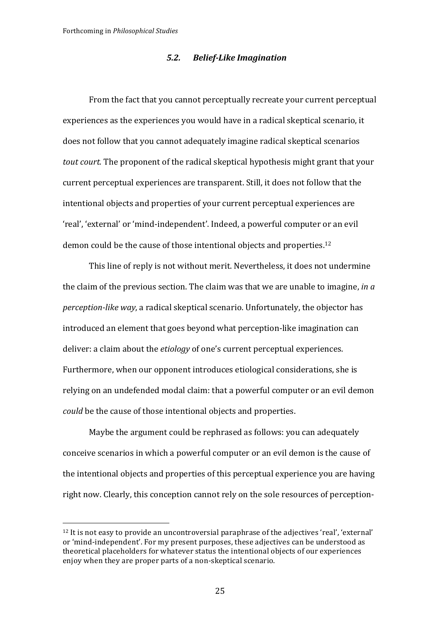# *5.2. Belief-Like Imagination*

From the fact that you cannot perceptually recreate your current perceptual experiences as the experiences you would have in a radical skeptical scenario, it does not follow that you cannot adequately imagine radical skeptical scenarios *tout court.* The proponent of the radical skeptical hypothesis might grant that your current perceptual experiences are transparent. Still, it does not follow that the intentional objects and properties of your current perceptual experiences are 'real', 'external' or 'mind-independent'. Indeed, a powerful computer or an evil demon could be the cause of those intentional objects and properties.<sup>12</sup>

This line of reply is not without merit. Nevertheless, it does not undermine the claim of the previous section. The claim was that we are unable to imagine, *in*  $a$ *perception-like way*, a radical skeptical scenario. Unfortunately, the objector has introduced an element that goes beyond what perception-like imagination can deliver: a claim about the *etiology* of one's current perceptual experiences. Furthermore, when our opponent introduces etiological considerations, she is relying on an undefended modal claim: that a powerful computer or an evil demon *could* be the cause of those intentional objects and properties.

Maybe the argument could be rephrased as follows: you can adequately conceive scenarios in which a powerful computer or an evil demon is the cause of the intentional objects and properties of this perceptual experience you are having right now. Clearly, this conception cannot rely on the sole resources of perception-

 $12$  It is not easy to provide an uncontroversial paraphrase of the adjectives 'real', 'external' or 'mind-independent'. For my present purposes, these adjectives can be understood as theoretical placeholders for whatever status the intentional objects of our experiences enjoy when they are proper parts of a non-skeptical scenario.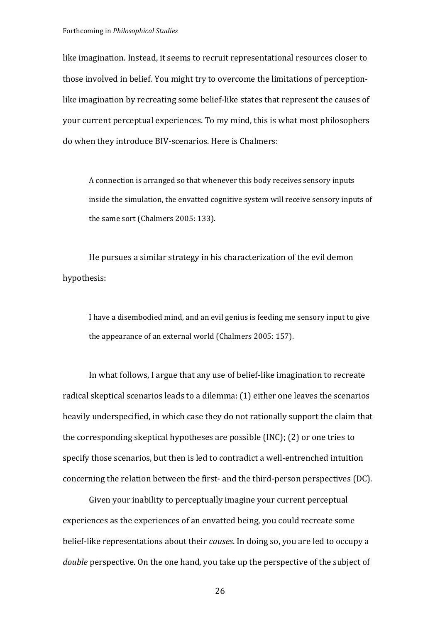like imagination. Instead, it seems to recruit representational resources closer to those involved in belief. You might try to overcome the limitations of perceptionlike imagination by recreating some belief-like states that represent the causes of your current perceptual experiences. To my mind, this is what most philosophers do when they introduce BIV-scenarios. Here is Chalmers:

A connection is arranged so that whenever this body receives sensory inputs inside the simulation, the envatted cognitive system will receive sensory inputs of the same sort (Chalmers 2005: 133).

He pursues a similar strategy in his characterization of the evil demon hypothesis:

I have a disembodied mind, and an evil genius is feeding me sensory input to give the appearance of an external world (Chalmers 2005: 157).

In what follows, I argue that any use of belief-like imagination to recreate radical skeptical scenarios leads to a dilemma: (1) either one leaves the scenarios heavily underspecified, in which case they do not rationally support the claim that the corresponding skeptical hypotheses are possible  $(INC)$ ;  $(2)$  or one tries to specify those scenarios, but then is led to contradict a well-entrenched intuition concerning the relation between the first- and the third-person perspectives (DC).

Given your inability to perceptually imagine your current perceptual experiences as the experiences of an envatted being, you could recreate some belief-like representations about their *causes*. In doing so, you are led to occupy a *double* perspective. On the one hand, you take up the perspective of the subject of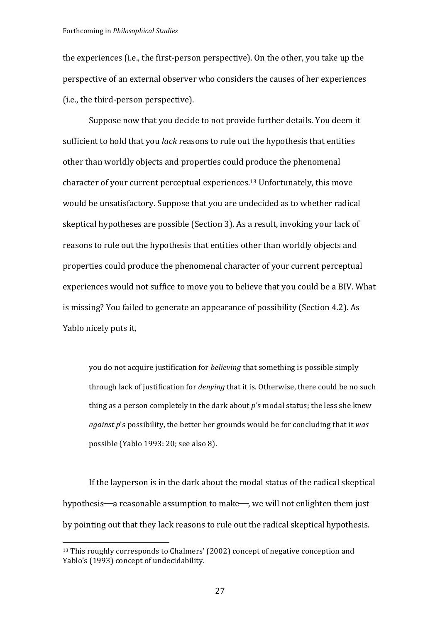the experiences (i.e., the first-person perspective). On the other, you take up the perspective of an external observer who considers the causes of her experiences (i.e., the third-person perspective).

Suppose now that you decide to not provide further details. You deem it sufficient to hold that you *lack* reasons to rule out the hypothesis that entities other than worldly objects and properties could produce the phenomenal character of your current perceptual experiences.<sup>13</sup> Unfortunately, this move would be unsatisfactory. Suppose that you are undecided as to whether radical skeptical hypotheses are possible (Section 3). As a result, invoking your lack of reasons to rule out the hypothesis that entities other than worldly objects and properties could produce the phenomenal character of your current perceptual experiences would not suffice to move you to believe that you could be a BIV. What is missing? You failed to generate an appearance of possibility (Section 4.2). As Yablo nicely puts it,

you do not acquire justification for *believing* that something is possible simply through lack of justification for *denying* that it is. Otherwise, there could be no such thing as a person completely in the dark about  $p$ 's modal status; the less she knew *against p's* possibility, the better her grounds would be for concluding that it *was* possible (Yablo 1993: 20; see also 8).

If the layperson is in the dark about the modal status of the radical skeptical hypothesis—a reasonable assumption to make—, we will not enlighten them just by pointing out that they lack reasons to rule out the radical skeptical hypothesis.

 $13$  This roughly corresponds to Chalmers' (2002) concept of negative conception and Yablo's (1993) concept of undecidability.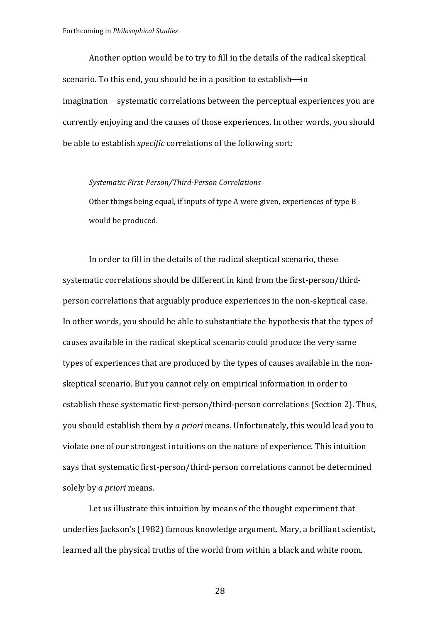Another option would be to try to fill in the details of the radical skeptical scenario. To this end, you should be in a position to establish-in imagination—systematic correlations between the perceptual experiences you are currently enjoying and the causes of those experiences. In other words, you should be able to establish *specific* correlations of the following sort:

#### *Systematic First-Person/Third-Person Correlations*

Other things being equal, if inputs of type A were given, experiences of type B would be produced.

In order to fill in the details of the radical skeptical scenario, these systematic correlations should be different in kind from the first-person/thirdperson correlations that arguably produce experiences in the non-skeptical case. In other words, you should be able to substantiate the hypothesis that the types of causes available in the radical skeptical scenario could produce the very same types of experiences that are produced by the types of causes available in the nonskeptical scenario. But you cannot rely on empirical information in order to establish these systematic first-person/third-person correlations (Section 2). Thus, you should establish them by *a priori* means. Unfortunately, this would lead you to violate one of our strongest intuitions on the nature of experience. This intuition says that systematic first-person/third-person correlations cannot be determined solely by *a priori* means.

Let us illustrate this intuition by means of the thought experiment that underlies Jackson's (1982) famous knowledge argument. Mary, a brilliant scientist, learned all the physical truths of the world from within a black and white room.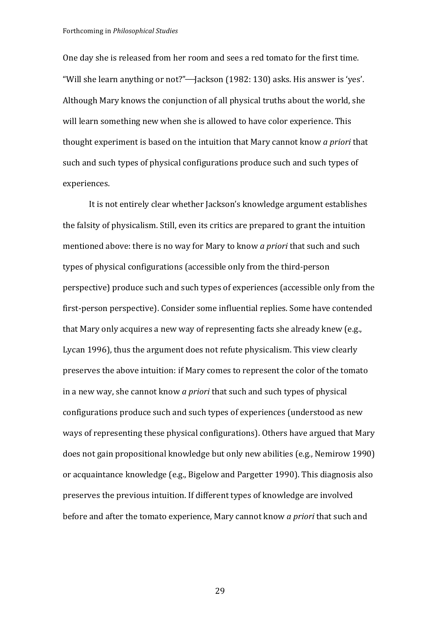One day she is released from her room and sees a red tomato for the first time. "Will she learn anything or not?"—Jackson (1982: 130) asks. His answer is 'yes'. Although Mary knows the conjunction of all physical truths about the world, she will learn something new when she is allowed to have color experience. This thought experiment is based on the intuition that Mary cannot know *a priori* that such and such types of physical configurations produce such and such types of experiences.

It is not entirely clear whether Jackson's knowledge argument establishes the falsity of physicalism. Still, even its critics are prepared to grant the intuition mentioned above: there is no way for Mary to know *a priori* that such and such types of physical configurations (accessible only from the third-person perspective) produce such and such types of experiences (accessible only from the first-person perspective). Consider some influential replies. Some have contended that Mary only acquires a new way of representing facts she already knew (e.g., Lycan 1996), thus the argument does not refute physicalism. This view clearly preserves the above intuition: if Mary comes to represent the color of the tomato in a new way, she cannot know *a priori* that such and such types of physical configurations produce such and such types of experiences (understood as new ways of representing these physical configurations). Others have argued that Mary does not gain propositional knowledge but only new abilities (e.g., Nemirow 1990) or acquaintance knowledge (e.g., Bigelow and Pargetter 1990). This diagnosis also preserves the previous intuition. If different types of knowledge are involved before and after the tomato experience, Mary cannot know *a priori* that such and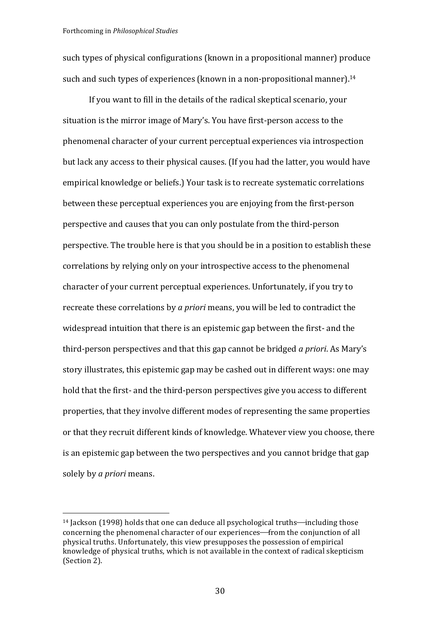such types of physical configurations (known in a propositional manner) produce such and such types of experiences (known in a non-propositional manner).<sup>14</sup>

If you want to fill in the details of the radical skeptical scenario, your situation is the mirror image of Mary's. You have first-person access to the phenomenal character of your current perceptual experiences via introspection but lack any access to their physical causes. (If you had the latter, you would have empirical knowledge or beliefs.) Your task is to recreate systematic correlations between these perceptual experiences you are enjoying from the first-person perspective and causes that you can only postulate from the third-person perspective. The trouble here is that you should be in a position to establish these correlations by relying only on your introspective access to the phenomenal character of your current perceptual experiences. Unfortunately, if you try to recreate these correlations by *a priori* means, you will be led to contradict the widespread intuition that there is an epistemic gap between the first- and the third-person perspectives and that this gap cannot be bridged *a priori*. As Mary's story illustrates, this epistemic gap may be cashed out in different ways: one may hold that the first- and the third-person perspectives give you access to different properties, that they involve different modes of representing the same properties or that they recruit different kinds of knowledge. Whatever view you choose, there is an epistemic gap between the two perspectives and you cannot bridge that gap solely by *a priori* means.

 $14$  Jackson (1998) holds that one can deduce all psychological truths—including those concerning the phenomenal character of our experiences—from the conjunction of all physical truths. Unfortunately, this view presupposes the possession of empirical knowledge of physical truths, which is not available in the context of radical skepticism (Section 2).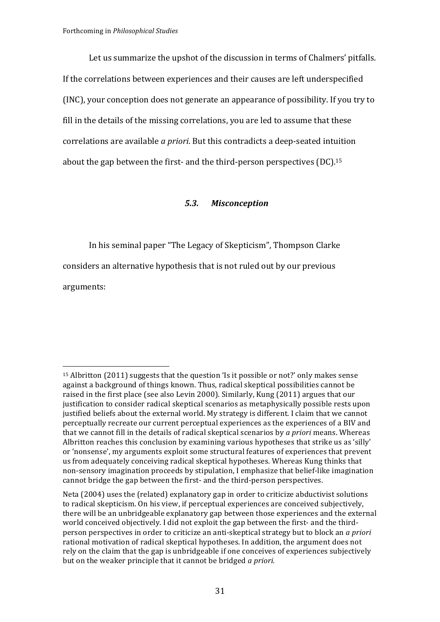Let us summarize the upshot of the discussion in terms of Chalmers' pitfalls. If the correlations between experiences and their causes are left underspecified (INC), your conception does not generate an appearance of possibility. If you try to fill in the details of the missing correlations, you are led to assume that these correlations are available *a priori*. But this contradicts a deep-seated intuition about the gap between the first- and the third-person perspectives  $(DC)^{15}$ 

# *5.3. Misconception*

In his seminal paper "The Legacy of Skepticism", Thompson Clarke considers an alternative hypothesis that is not ruled out by our previous arguments:

<sup>&</sup>lt;sup>15</sup> Albritton  $(2011)$  suggests that the question 'Is it possible or not?' only makes sense against a background of things known. Thus, radical skeptical possibilities cannot be raised in the first place (see also Levin 2000). Similarly, Kung (2011) argues that our justification to consider radical skeptical scenarios as metaphysically possible rests upon justified beliefs about the external world. My strategy is different. I claim that we cannot perceptually recreate our current perceptual experiences as the experiences of a BIV and that we cannot fill in the details of radical skeptical scenarios by *a priori* means. Whereas Albritton reaches this conclusion by examining various hypotheses that strike us as 'silly' or 'nonsense', my arguments exploit some structural features of experiences that prevent us from adequately conceiving radical skeptical hypotheses. Whereas Kung thinks that non-sensory imagination proceeds by stipulation, I emphasize that belief-like imagination cannot bridge the gap between the first- and the third-person perspectives.

Neta (2004) uses the (related) explanatory gap in order to criticize abductivist solutions to radical skepticism. On his view, if perceptual experiences are conceived subjectively, there will be an unbridgeable explanatory gap between those experiences and the external world conceived objectively. I did not exploit the gap between the first- and the thirdperson perspectives in order to criticize an anti-skeptical strategy but to block an *a priori* rational motivation of radical skeptical hypotheses. In addition, the argument does not rely on the claim that the gap is unbridgeable if one conceives of experiences subjectively but on the weaker principle that it cannot be bridged *a priori.*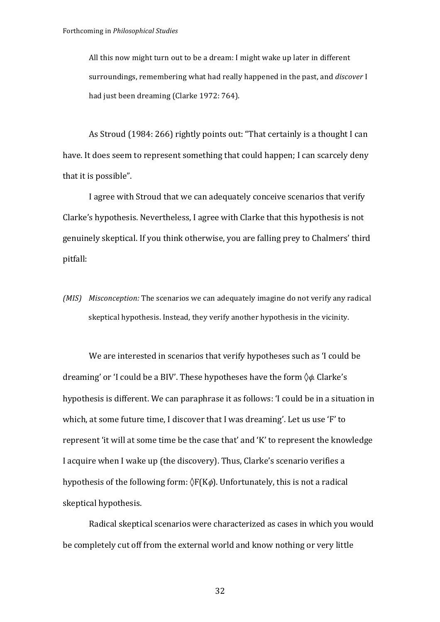All this now might turn out to be a dream: I might wake up later in different surroundings, remembering what had really happened in the past, and *discover* I had just been dreaming (Clarke 1972: 764).

As Stroud (1984: 266) rightly points out: "That certainly is a thought I can have. It does seem to represent something that could happen; I can scarcely deny that it is possible".

I agree with Stroud that we can adequately conceive scenarios that verify Clarke's hypothesis. Nevertheless, I agree with Clarke that this hypothesis is not genuinely skeptical. If you think otherwise, you are falling prey to Chalmers' third pitfall:

*(MIS) Misconception:* The scenarios we can adequately imagine do not verify any radical skeptical hypothesis. Instead, they verify another hypothesis in the vicinity.

We are interested in scenarios that verify hypotheses such as 'I could be dreaming' or 'I could be a BIV'. These hypotheses have the form  $\diamond$ φ. Clarke's hypothesis is different. We can paraphrase it as follows: 'I could be in a situation in which, at some future time, I discover that I was dreaming'. Let us use 'F' to represent 'it will at some time be the case that' and 'K' to represent the knowledge I acquire when I wake up (the discovery). Thus, Clarke's scenario verifies a hypothesis of the following form:  $\langle F(K\phi)$ . Unfortunately, this is not a radical skeptical hypothesis.

Radical skeptical scenarios were characterized as cases in which you would be completely cut off from the external world and know nothing or very little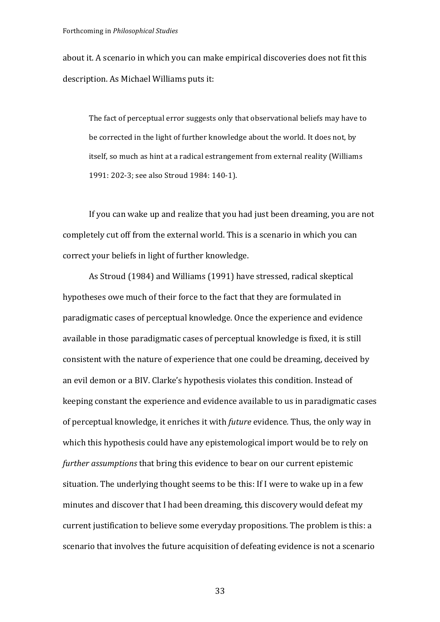about it. A scenario in which you can make empirical discoveries does not fit this description. As Michael Williams puts it:

The fact of perceptual error suggests only that observational beliefs may have to be corrected in the light of further knowledge about the world. It does not, by itself, so much as hint at a radical estrangement from external reality (Williams 1991: 202-3; see also Stroud 1984: 140-1).

If you can wake up and realize that you had just been dreaming, you are not completely cut off from the external world. This is a scenario in which you can correct vour beliefs in light of further knowledge.

As Stroud (1984) and Williams (1991) have stressed, radical skeptical hypotheses owe much of their force to the fact that they are formulated in paradigmatic cases of perceptual knowledge. Once the experience and evidence available in those paradigmatic cases of perceptual knowledge is fixed, it is still consistent with the nature of experience that one could be dreaming, deceived by an evil demon or a BIV. Clarke's hypothesis violates this condition. Instead of keeping constant the experience and evidence available to us in paradigmatic cases of perceptual knowledge, it enriches it with *future* evidence. Thus, the only way in which this hypothesis could have any epistemological import would be to rely on *further assumptions* that bring this evidence to bear on our current epistemic situation. The underlying thought seems to be this: If I were to wake up in a few minutes and discover that I had been dreaming, this discovery would defeat my current justification to believe some everyday propositions. The problem is this: a scenario that involves the future acquisition of defeating evidence is not a scenario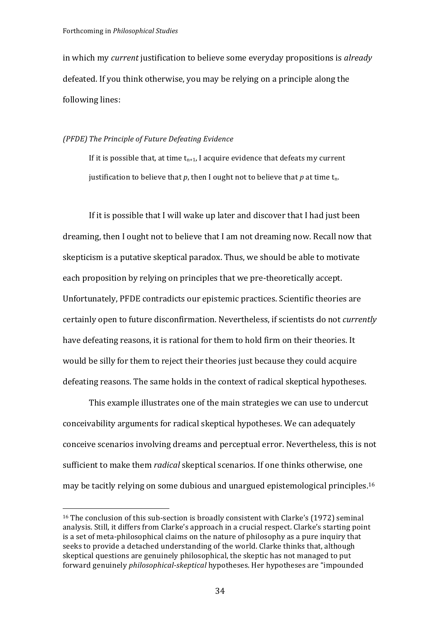in which my *current* justification to believe some everyday propositions is *already* defeated. If you think otherwise, you may be relying on a principle along the following lines:

#### *(PFDE) The Principle of Future Defeating Evidence*

If it is possible that, at time  $t_{n+1}$ , I acquire evidence that defeats my current justification to believe that  $p$ , then I ought not to believe that  $p$  at time  $t_n$ .

If it is possible that I will wake up later and discover that I had just been dreaming, then I ought not to believe that I am not dreaming now. Recall now that skepticism is a putative skeptical paradox. Thus, we should be able to motivate each proposition by relying on principles that we pre-theoretically accept. Unfortunately, PFDE contradicts our epistemic practices. Scientific theories are certainly open to future disconfirmation. Nevertheless, if scientists do not *currently* have defeating reasons, it is rational for them to hold firm on their theories. It would be silly for them to reject their theories just because they could acquire defeating reasons. The same holds in the context of radical skeptical hypotheses.

This example illustrates one of the main strategies we can use to undercut conceivability arguments for radical skeptical hypotheses. We can adequately conceive scenarios involving dreams and perceptual error. Nevertheless, this is not sufficient to make them *radical* skeptical scenarios. If one thinks otherwise, one may be tacitly relying on some dubious and unargued epistemological principles.<sup>16</sup>

 $16$  The conclusion of this sub-section is broadly consistent with Clarke's (1972) seminal analysis. Still, it differs from Clarke's approach in a crucial respect. Clarke's starting point is a set of meta-philosophical claims on the nature of philosophy as a pure inquiry that seeks to provide a detached understanding of the world. Clarke thinks that, although skeptical questions are genuinely philosophical, the skeptic has not managed to put forward genuinely *philosophical-skeptical* hypotheses. Her hypotheses are "impounded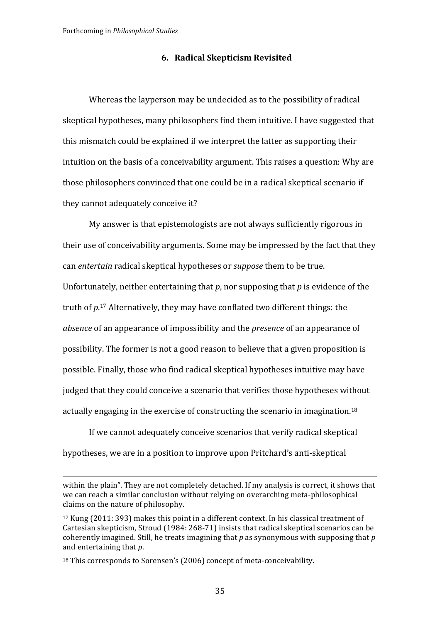#### **6. Radical Skepticism Revisited**

Whereas the layperson may be undecided as to the possibility of radical skeptical hypotheses, many philosophers find them intuitive. I have suggested that this mismatch could be explained if we interpret the latter as supporting their intuition on the basis of a conceivability argument. This raises a question: Why are those philosophers convinced that one could be in a radical skeptical scenario if they cannot adequately conceive it?

My answer is that epistemologists are not always sufficiently rigorous in their use of conceivability arguments. Some may be impressed by the fact that they can *entertain* radical skeptical hypotheses or *suppose* them to be true. Unfortunately, neither entertaining that  $p$ , nor supposing that  $p$  is evidence of the truth of  $p$ <sup>17</sup> Alternatively, they may have conflated two different things: the *absence* of an appearance of impossibility and the *presence* of an appearance of possibility. The former is not a good reason to believe that a given proposition is possible. Finally, those who find radical skeptical hypotheses intuitive may have judged that they could conceive a scenario that verifies those hypotheses without actually engaging in the exercise of constructing the scenario in imagination.<sup>18</sup>

If we cannot adequately conceive scenarios that verify radical skeptical hypotheses, we are in a position to improve upon Pritchard's anti-skeptical

<u> 1989 - Johann Stein, marwolaethau a bhann an chomhair an chomhair an chomhair an chomhair an chomhair an chom</u>

within the plain". They are not completely detached. If my analysis is correct, it shows that we can reach a similar conclusion without relying on overarching meta-philosophical claims on the nature of philosophy.

 $17$  Kung (2011: 393) makes this point in a different context. In his classical treatment of Cartesian skepticism, Stroud (1984: 268-71) insists that radical skeptical scenarios can be coherently imagined. Still, he treats imagining that  $p$  as synonymous with supposing that  $p$ and entertaining that *p*.

 $18$  This corresponds to Sorensen's (2006) concept of meta-conceivability.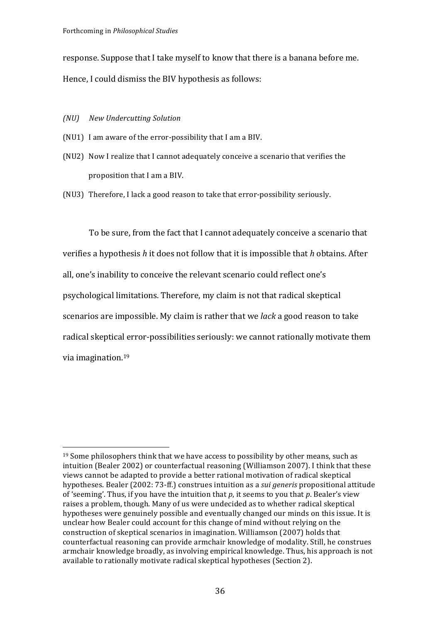response. Suppose that I take myself to know that there is a banana before me. Hence, I could dismiss the BIV hypothesis as follows:

*(NU) New Undercutting Solution*

 

- (NU1) I am aware of the error-possibility that I am a BIV.
- (NU2) Now I realize that I cannot adequately conceive a scenario that verifies the proposition that I am a BIV.
- (NU3) Therefore, I lack a good reason to take that error-possibility seriously.

To be sure, from the fact that I cannot adequately conceive a scenario that verifies a hypothesis *h* it does not follow that it is impossible that *h* obtains. After all, one's inability to conceive the relevant scenario could reflect one's psychological limitations. Therefore, my claim is not that radical skeptical scenarios are impossible. My claim is rather that we *lack* a good reason to take radical skeptical error-possibilities seriously: we cannot rationally motivate them via imagination.<sup>19</sup>

 $19$  Some philosophers think that we have access to possibility by other means, such as intuition (Bealer 2002) or counterfactual reasoning (Williamson 2007). I think that these views cannot be adapted to provide a better rational motivation of radical skeptical hypotheses. Bealer (2002: 73-ff.) construes intuition as a *sui generis* propositional attitude of 'seeming'. Thus, if you have the intuition that  $p$ , it seems to you that  $p$ . Bealer's view raises a problem, though. Many of us were undecided as to whether radical skeptical hypotheses were genuinely possible and eventually changed our minds on this issue. It is unclear how Bealer could account for this change of mind without relying on the construction of skeptical scenarios in imagination. Williamson (2007) holds that counterfactual reasoning can provide armchair knowledge of modality. Still, he construes armchair knowledge broadly, as involving empirical knowledge. Thus, his approach is not available to rationally motivate radical skeptical hypotheses (Section 2).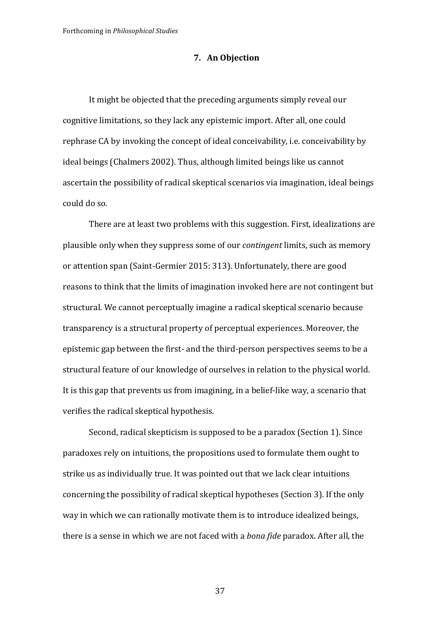# **7. An Objection**

It might be objected that the preceding arguments simply reveal our cognitive limitations, so they lack any epistemic import. After all, one could rephrase CA by invoking the concept of ideal conceivability, i.e. conceivability by ideal beings (Chalmers 2002). Thus, although limited beings like us cannot ascertain the possibility of radical skeptical scenarios via imagination, ideal beings could do so.

There are at least two problems with this suggestion. First, idealizations are plausible only when they suppress some of our *contingent* limits, such as memory or attention span (Saint-Germier 2015: 313). Unfortunately, there are good reasons to think that the limits of imagination invoked here are not contingent but structural. We cannot perceptually imagine a radical skeptical scenario because transparency is a structural property of perceptual experiences. Moreover, the epistemic gap between the first- and the third-person perspectives seems to be a structural feature of our knowledge of ourselves in relation to the physical world. It is this gap that prevents us from imagining, in a belief-like way, a scenario that verifies the radical skeptical hypothesis.

Second, radical skepticism is supposed to be a paradox (Section 1). Since paradoxes rely on intuitions, the propositions used to formulate them ought to strike us as individually true. It was pointed out that we lack clear intuitions concerning the possibility of radical skeptical hypotheses (Section 3). If the only way in which we can rationally motivate them is to introduce idealized beings, there is a sense in which we are not faced with a *bona fide* paradox. After all, the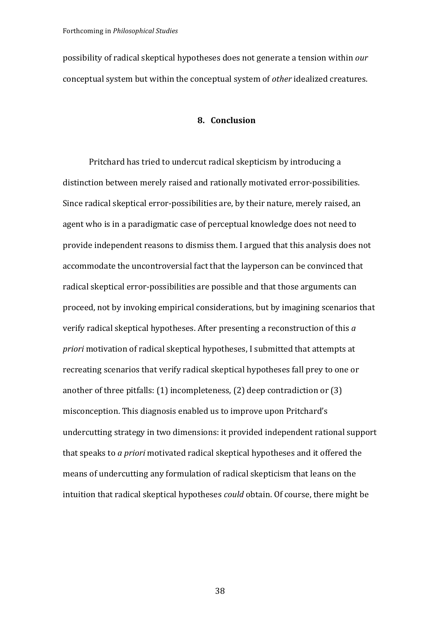possibility of radical skeptical hypotheses does not generate a tension within *our* conceptual system but within the conceptual system of *other* idealized creatures.

# **8. Conclusion**

Pritchard has tried to undercut radical skepticism by introducing a distinction between merely raised and rationally motivated error-possibilities. Since radical skeptical error-possibilities are, by their nature, merely raised, an agent who is in a paradigmatic case of perceptual knowledge does not need to provide independent reasons to dismiss them. I argued that this analysis does not accommodate the uncontroversial fact that the layperson can be convinced that radical skeptical error-possibilities are possible and that those arguments can proceed, not by invoking empirical considerations, but by imagining scenarios that verify radical skeptical hypotheses. After presenting a reconstruction of this *a priori* motivation of radical skeptical hypotheses, I submitted that attempts at recreating scenarios that verify radical skeptical hypotheses fall prey to one or another of three pitfalls:  $(1)$  incompleteness,  $(2)$  deep contradiction or  $(3)$ misconception. This diagnosis enabled us to improve upon Pritchard's undercutting strategy in two dimensions: it provided independent rational support that speaks to *a priori* motivated radical skeptical hypotheses and it offered the means of undercutting any formulation of radical skepticism that leans on the intuition that radical skeptical hypotheses *could* obtain. Of course, there might be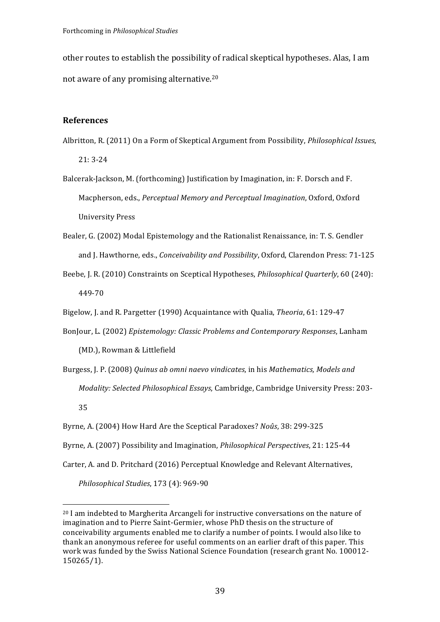other routes to establish the possibility of radical skeptical hypotheses. Alas, I am not aware of any promising alternative.<sup>20</sup>

#### **References**

- Albritton, R. (2011) On a Form of Skeptical Argument from Possibility, *Philosophical Issues*,  $21:3-24$
- Balcerak-Jackson, M. (forthcoming) Justification by Imagination, in: F. Dorsch and F. Macpherson, eds., Perceptual Memory and Perceptual Imagination, Oxford, Oxford University Press
- Bealer, G. (2002) Modal Epistemology and the Rationalist Renaissance, in: T. S. Gendler and J. Hawthorne, eds., *Conceivability and Possibility*, Oxford, Clarendon Press: 71-125
- Beebe, J. R. (2010) Constraints on Sceptical Hypotheses, *Philosophical Quarterly*, 60 (240): 449-70
- Bigelow, J. and R. Pargetter (1990) Acquaintance with Qualia, *Theoria*, 61: 129-47
- BonJour, L. (2002) *Epistemology: Classic Problems and Contemporary Responses*, Lanham

(MD.), Rowman & Littlefield

- Burgess, J. P. (2008) *Quinus ab omni naevo vindicates*, in his *Mathematics, Models and Modality: Selected Philosophical Essays, Cambridge, Cambridge University Press: 203-*35
- Byrne, A. (2004) How Hard Are the Sceptical Paradoxes? *Noûs*, 38: 299-325
- Byrne, A. (2007) Possibility and Imagination, *Philosophical Perspectives*, 21: 125-44
- Carter, A. and D. Pritchard (2016) Perceptual Knowledge and Relevant Alternatives,

*Philosophical Studies*, 173 (4): 969-90

<sup>&</sup>lt;sup>20</sup> I am indebted to Margherita Arcangeli for instructive conversations on the nature of imagination and to Pierre Saint-Germier, whose PhD thesis on the structure of conceivability arguments enabled me to clarify a number of points. I would also like to thank an anonymous referee for useful comments on an earlier draft of this paper. This work was funded by the Swiss National Science Foundation (research grant No. 100012-150265/1).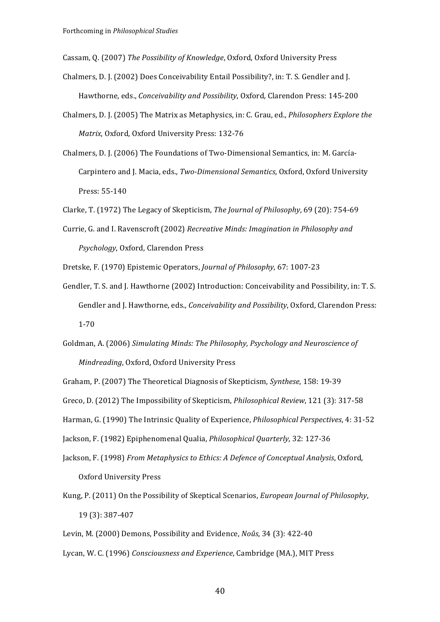Cassam, Q. (2007) *The Possibility of Knowledge*, Oxford, Oxford University Press

- Chalmers, D. J. (2002) Does Conceivability Entail Possibility?, in: T. S. Gendler and J. Hawthorne, eds., *Conceivability and Possibility*, Oxford, Clarendon Press: 145-200
- Chalmers, D. J. (2005) The Matrix as Metaphysics, in: C. Grau, ed., *Philosophers Explore the Matrix*, Oxford, Oxford University Press: 132-76
- Chalmers, D. J. (2006) The Foundations of Two-Dimensional Semantics, in: M. García-Carpintero and J. Macia, eds., *Two-Dimensional Semantics*, Oxford, Oxford University Press: 55-140

Clarke, T. (1972) The Legacy of Skepticism, *The Journal of Philosophy*, 69 (20): 754-69

- Currie, G. and I. Ravenscroft (2002) *Recreative Minds: Imagination in Philosophy and Psychology*, Oxford, Clarendon Press
- Dretske, F. (1970) Epistemic Operators, *Journal of Philosophy*, 67: 1007-23
- Gendler, T. S. and J. Hawthorne (2002) Introduction: Conceivability and Possibility, in: T. S. Gendler and J. Hawthorne, eds., *Conceivability and Possibility*, Oxford, Clarendon Press: 1-70
- Goldman, A. (2006) Simulating Minds: The Philosophy, Psychology and Neuroscience of *Mindreading*, Oxford, Oxford University Press
- Graham, P. (2007) The Theoretical Diagnosis of Skepticism, *Synthese*, 158: 19-39
- Greco, D. (2012) The Impossibility of Skepticism, *Philosophical Review*, 121 (3): 317-58
- Harman, G. (1990) The Intrinsic Quality of Experience, *Philosophical Perspectives*, 4: 31-52

Jackson, F. (1982) Epiphenomenal Qualia, *Philosophical Quarterly*, 32: 127-36

- Jackson, F. (1998) *From Metaphysics to Ethics: A Defence of Conceptual Analysis*, Oxford, Oxford University Press
- Kung, P. (2011) On the Possibility of Skeptical Scenarios, *European Journal of Philosophy*, 19 (3): 387-407
- Levin, M. (2000) Demons, Possibility and Evidence, *Noûs*, 34 (3): 422-40

Lycan, W. C. (1996) *Consciousness and Experience*, Cambridge (MA.), MIT Press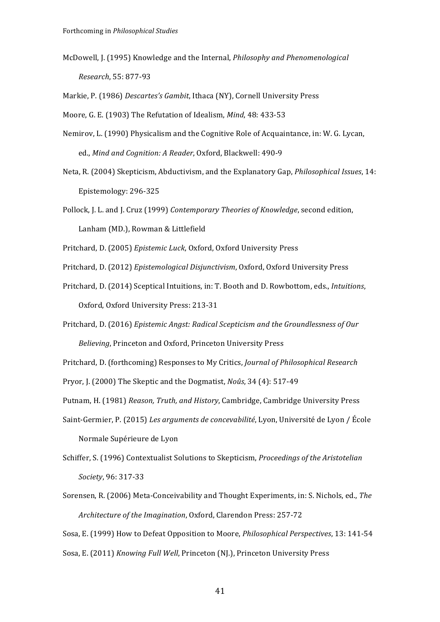McDowell, J. (1995) Knowledge and the Internal, *Philosophy and Phenomenological Research*, 55: 877-93

Markie, P. (1986) *Descartes's Gambit*, Ithaca (NY), Cornell University Press

Moore, G. E. (1903) The Refutation of Idealism, *Mind*, 48: 433-53

- Nemirov, L. (1990) Physicalism and the Cognitive Role of Acquaintance, in: W. G. Lycan, ed., *Mind and Cognition: A Reader*, Oxford, Blackwell: 490-9
- Neta, R. (2004) Skepticism, Abductivism, and the Explanatory Gap, *Philosophical Issues*, 14: Epistemology: 296-325
- Pollock, J. L. and J. Cruz (1999) *Contemporary Theories of Knowledge*, second edition, Lanham (MD.), Rowman & Littlefield

Pritchard, D. (2005) *Epistemic Luck*, Oxford, Oxford University Press

- Pritchard, D. (2012) *Epistemological Disjunctivism*, Oxford, Oxford University Press
- Pritchard, D. (2014) Sceptical Intuitions, in: T. Booth and D. Rowbottom, eds., *Intuitions*, Oxford, Oxford University Press: 213-31
- Pritchard, D. (2016) *Epistemic Angst: Radical Scepticism and the Groundlessness of Our Believing*, Princeton and Oxford, Princeton University Press

Pritchard, D. (forthcoming) Responses to My Critics, *Journal of Philosophical Research* 

Pryor, J. (2000) The Skeptic and the Dogmatist, *Noûs*, 34 (4): 517-49

- Putnam, H. (1981) *Reason, Truth, and History*, Cambridge, Cambridge University Press
- Saint-Germier, P. (2015) *Les arguments de concevabilité*, Lyon, Université de Lyon / École Normale Supérieure de Lyon
- Schiffer, S. (1996) Contextualist Solutions to Skepticism, *Proceedings of the Aristotelian Society*, 96: 317-33
- Sorensen, R. (2006) Meta-Conceivability and Thought Experiments, in: S. Nichols, ed., *The Architecture of the Imagination, Oxford, Clarendon Press: 257-72*

Sosa, E. (1999) How to Defeat Opposition to Moore, *Philosophical Perspectives*, 13: 141-54 Sosa, E. (2011) *Knowing Full Well*, Princeton (NJ.), Princeton University Press